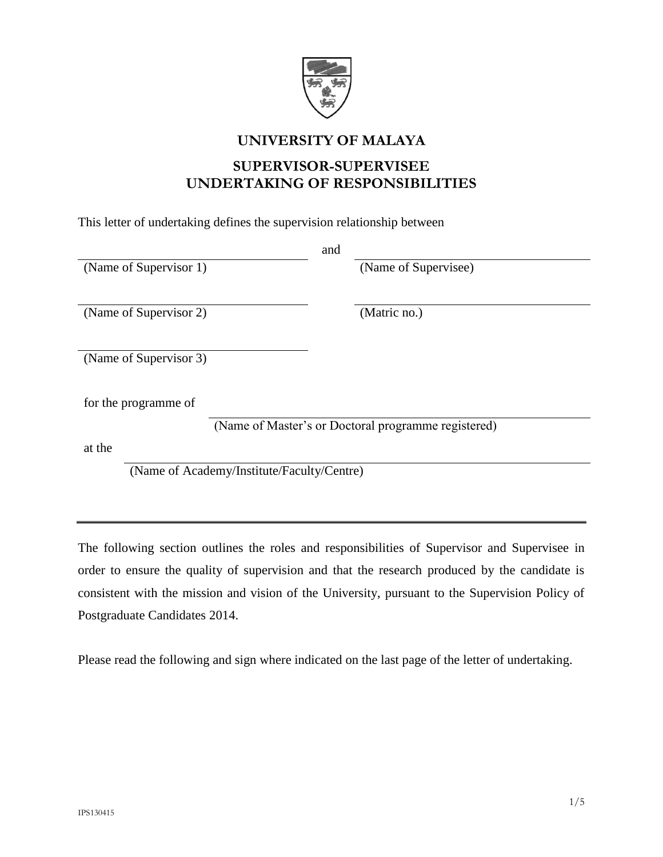

## **UNIVERSITY OF MALAYA**

# **SUPERVISOR-SUPERVISEE UNDERTAKING OF RESPONSIBILITIES**

This letter of undertaking defines the supervision relationship between

|                                            |                                                     | and |                      |  |
|--------------------------------------------|-----------------------------------------------------|-----|----------------------|--|
| (Name of Supervisor 1)                     |                                                     |     | (Name of Supervisee) |  |
|                                            |                                                     |     |                      |  |
| (Name of Supervisor 2)                     |                                                     |     | (Matric no.)         |  |
|                                            |                                                     |     |                      |  |
| (Name of Supervisor 3)                     |                                                     |     |                      |  |
|                                            |                                                     |     |                      |  |
| for the programme of                       |                                                     |     |                      |  |
|                                            | (Name of Master's or Doctoral programme registered) |     |                      |  |
| at the                                     |                                                     |     |                      |  |
| (Name of Academy/Institute/Faculty/Centre) |                                                     |     |                      |  |

The following section outlines the roles and responsibilities of Supervisor and Supervisee in order to ensure the quality of supervision and that the research produced by the candidate is consistent with the mission and vision of the University, pursuant to the Supervision Policy of Postgraduate Candidates 2014.

Please read the following and sign where indicated on the last page of the letter of undertaking.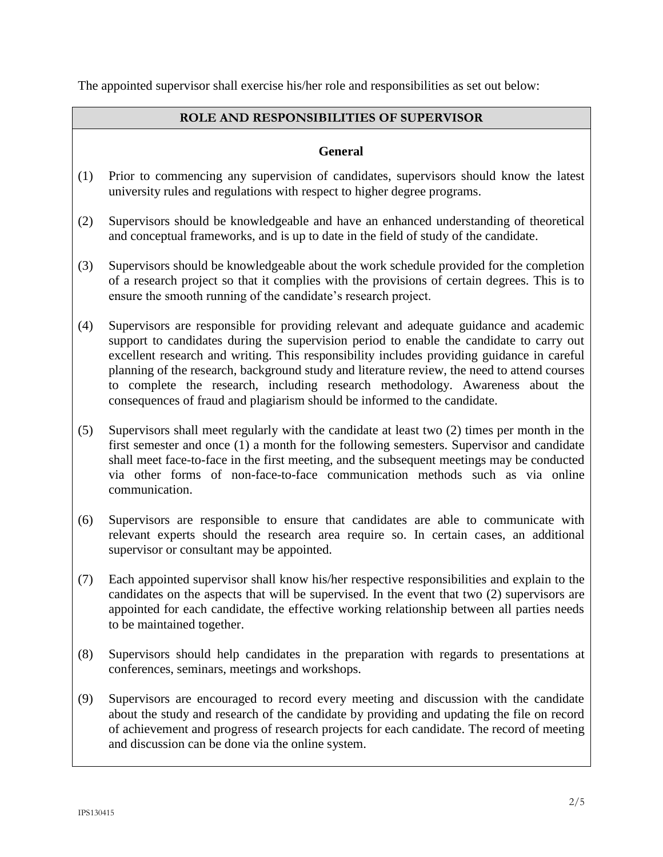The appointed supervisor shall exercise his/her role and responsibilities as set out below:

#### **ROLE AND RESPONSIBILITIES OF SUPERVISOR**

#### **General**

- (1) Prior to commencing any supervision of candidates, supervisors should know the latest university rules and regulations with respect to higher degree programs.
- (2) Supervisors should be knowledgeable and have an enhanced understanding of theoretical and conceptual frameworks, and is up to date in the field of study of the candidate.
- (3) Supervisors should be knowledgeable about the work schedule provided for the completion of a research project so that it complies with the provisions of certain degrees. This is to ensure the smooth running of the candidate's research project.
- (4) Supervisors are responsible for providing relevant and adequate guidance and academic support to candidates during the supervision period to enable the candidate to carry out excellent research and writing. This responsibility includes providing guidance in careful planning of the research, background study and literature review, the need to attend courses to complete the research, including research methodology. Awareness about the consequences of fraud and plagiarism should be informed to the candidate.
- (5) Supervisors shall meet regularly with the candidate at least two (2) times per month in the first semester and once (1) a month for the following semesters. Supervisor and candidate shall meet face-to-face in the first meeting, and the subsequent meetings may be conducted via other forms of non-face-to-face communication methods such as via online communication.
- (6) Supervisors are responsible to ensure that candidates are able to communicate with relevant experts should the research area require so. In certain cases, an additional supervisor or consultant may be appointed.
- (7) Each appointed supervisor shall know his/her respective responsibilities and explain to the candidates on the aspects that will be supervised. In the event that two (2) supervisors are appointed for each candidate, the effective working relationship between all parties needs to be maintained together.
- (8) Supervisors should help candidates in the preparation with regards to presentations at conferences, seminars, meetings and workshops.
- (9) Supervisors are encouraged to record every meeting and discussion with the candidate about the study and research of the candidate by providing and updating the file on record of achievement and progress of research projects for each candidate. The record of meeting and discussion can be done via the online system.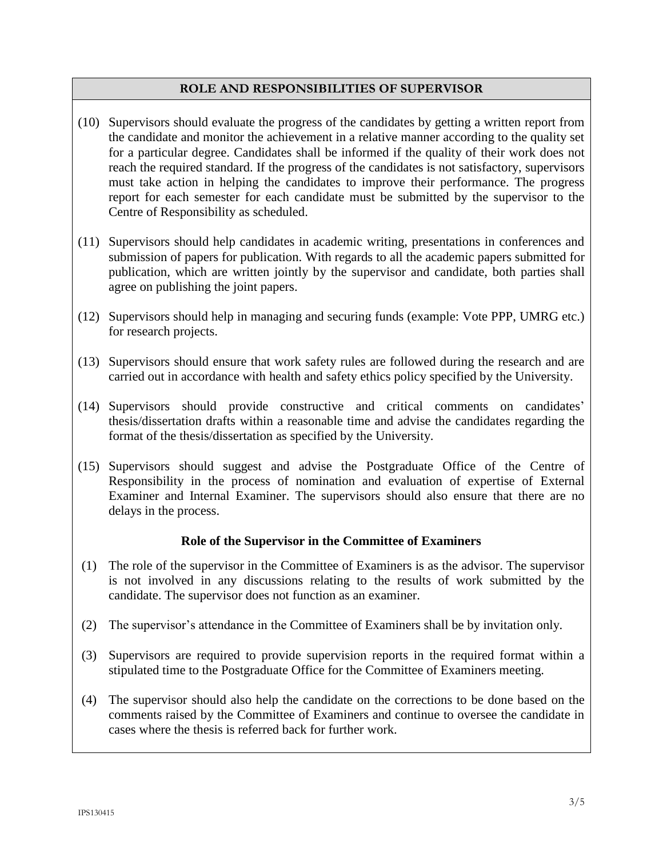#### **ROLE AND RESPONSIBILITIES OF SUPERVISOR**

- (10) Supervisors should evaluate the progress of the candidates by getting a written report from the candidate and monitor the achievement in a relative manner according to the quality set for a particular degree. Candidates shall be informed if the quality of their work does not reach the required standard. If the progress of the candidates is not satisfactory, supervisors must take action in helping the candidates to improve their performance. The progress report for each semester for each candidate must be submitted by the supervisor to the Centre of Responsibility as scheduled.
- (11) Supervisors should help candidates in academic writing, presentations in conferences and submission of papers for publication. With regards to all the academic papers submitted for publication, which are written jointly by the supervisor and candidate, both parties shall agree on publishing the joint papers.
- (12) Supervisors should help in managing and securing funds (example: Vote PPP, UMRG etc.) for research projects.
- (13) Supervisors should ensure that work safety rules are followed during the research and are carried out in accordance with health and safety ethics policy specified by the University.
- (14) Supervisors should provide constructive and critical comments on candidates' thesis/dissertation drafts within a reasonable time and advise the candidates regarding the format of the thesis/dissertation as specified by the University.
- (15) Supervisors should suggest and advise the Postgraduate Office of the Centre of Responsibility in the process of nomination and evaluation of expertise of External Examiner and Internal Examiner. The supervisors should also ensure that there are no delays in the process.

#### **Role of the Supervisor in the Committee of Examiners**

- (1) The role of the supervisor in the Committee of Examiners is as the advisor. The supervisor is not involved in any discussions relating to the results of work submitted by the candidate. The supervisor does not function as an examiner.
- (2) The supervisor's attendance in the Committee of Examiners shall be by invitation only.
- (3) Supervisors are required to provide supervision reports in the required format within a stipulated time to the Postgraduate Office for the Committee of Examiners meeting.
- (4) The supervisor should also help the candidate on the corrections to be done based on the comments raised by the Committee of Examiners and continue to oversee the candidate in cases where the thesis is referred back for further work.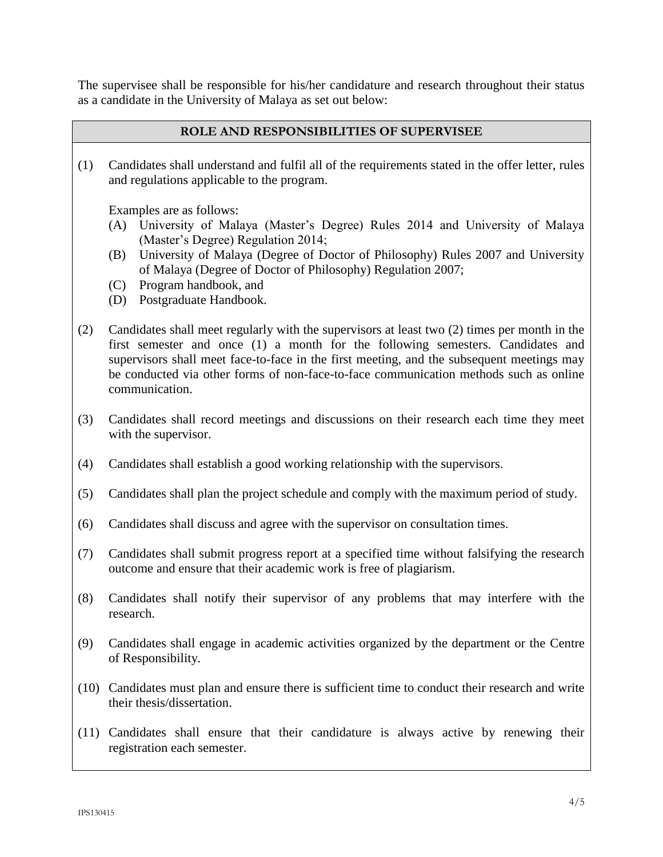The supervisee shall be responsible for his/her candidature and research throughout their status as a candidate in the University of Malaya as set out below:

#### **ROLE AND RESPONSIBILITIES OF SUPERVISEE**

(1) Candidates shall understand and fulfil all of the requirements stated in the offer letter, rules and regulations applicable to the program.

Examples are as follows:

- (A) University of Malaya (Master's Degree) Rules 2014 and University of Malaya (Master's Degree) Regulation 2014;
- (B) University of Malaya (Degree of Doctor of Philosophy) Rules 2007 and University of Malaya (Degree of Doctor of Philosophy) Regulation 2007;
- (C) Program handbook, and
- (D) Postgraduate Handbook.
- (2) Candidates shall meet regularly with the supervisors at least two (2) times per month in the first semester and once (1) a month for the following semesters. Candidates and supervisors shall meet face-to-face in the first meeting, and the subsequent meetings may be conducted via other forms of non-face-to-face communication methods such as online communication.
- (3) Candidates shall record meetings and discussions on their research each time they meet with the supervisor.
- (4) Candidates shall establish a good working relationship with the supervisors.
- (5) Candidates shall plan the project schedule and comply with the maximum period of study.
- (6) Candidates shall discuss and agree with the supervisor on consultation times.
- (7) Candidates shall submit progress report at a specified time without falsifying the research outcome and ensure that their academic work is free of plagiarism.
- (8) Candidates shall notify their supervisor of any problems that may interfere with the research.
- (9) Candidates shall engage in academic activities organized by the department or the Centre of Responsibility.
- (10) Candidates must plan and ensure there is sufficient time to conduct their research and write their thesis/dissertation.
- (11) Candidates shall ensure that their candidature is always active by renewing their registration each semester.